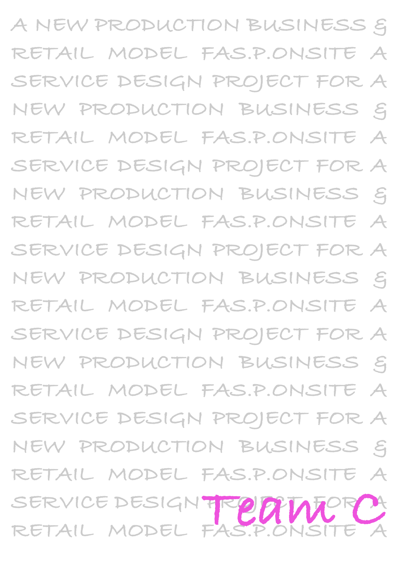**A NEW PRODUCTION BUSINESS &**  RETAIL MODEL FAS.P.ONSITE **SERVICE DESIGN PROJECT FOR A NEW PRODUCTION BUSINESS &**  RETAIL MODEL FAS.P.ONSITE **SERVICE DESIGN PROJECT FOR A NEW PRODUCTION BUSINESS &**  RETAIL MODEL FAS.P.ONSITE **SERVICE DESIGN PROJECT FOR A NEW PRODUCTION BUSINESS &**  RETAIL MODEL FAS.P.ONSITE **SERVICE DESIGN PROJECT FOR A NEW PRODUCTION BUSINESS &**  RETAIL MODEL FAS.P.ONSITE SERVICE DESIGN PROJECT FOR **NEW PRODUCTION BUSINESS &**  ETAIL MODEL FAS.P.ONSITE SERVICE DESIGN FROM ALATOR A SERVICE DESIGN TRO**OTALISE CA**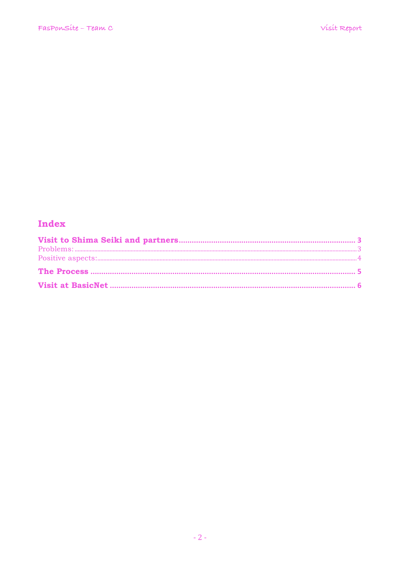# Index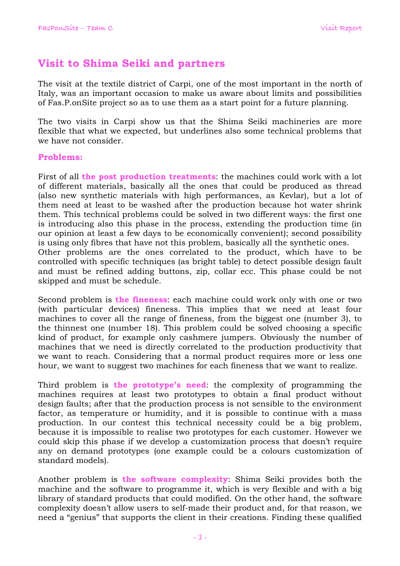## **Visit to Shima Seiki and partners**

The visit at the textile district of Carpi, one of the most important in the north of Italy, was an important occasion to make us aware about limits and possibilities of Fas.P.onSite project so as to use them as a start point for a future planning.

The two visits in Carpi show us that the Shima Seiki machineries are more flexible that what we expected, but underlines also some technical problems that we have not consider.

### **Problems:**

First of all **the post production treatments**: the machines could work with a lot of different materials, basically all the ones that could be produced as thread (also new synthetic materials with high performances, as Kevlar), but a lot of them need at least to be washed after the production because hot water shrink them. This technical problems could be solved in two different ways: the first one is introducing also this phase in the process, extending the production time (in our opinion at least a few days to be economically convenient); second possibility is using only fibres that have not this problem, basically all the synthetic ones. Other problems are the ones correlated to the product, which have to be controlled with specific techniques (as bright table) to detect possible design fault and must be refined adding buttons, zip, collar ecc. This phase could be not skipped and must be schedule.

Second problem is **the fineness**: each machine could work only with one or two (with particular devices) fineness. This implies that we need at least four machines to cover all the range of fineness, from the biggest one (number 3), to the thinnest one (number 18). This problem could be solved choosing a specific kind of product, for example only cashmere jumpers. Obviously the number of machines that we need is directly correlated to the production productivity that we want to reach. Considering that a normal product requires more or less one hour, we want to suggest two machines for each fineness that we want to realize.

Third problem is **the prototype's need**: the complexity of programming the machines requires at least two prototypes to obtain a final product without design faults; after that the production process is not sensible to the environment factor, as temperature or humidity, and it is possible to continue with a mass production. In our contest this technical necessity could be a big problem, because it is impossible to realise two prototypes for each customer. However we could skip this phase if we develop a customization process that doesn't require any on demand prototypes (one example could be a colours customization of standard models).

Another problem is **the software complexity**: Shima Seiki provides both the machine and the software to programme it, which is very flexible and with a big library of standard products that could modified. On the other hand, the software complexity doesn't allow users to self-made their product and, for that reason, we need a "genius" that supports the client in their creations. Finding these qualified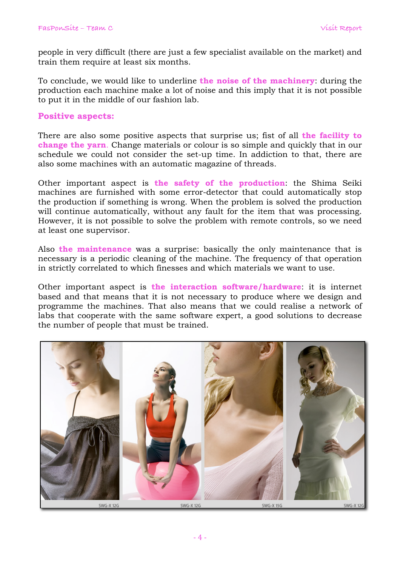people in very difficult (there are just a few specialist available on the market) and train them require at least six months.

To conclude, we would like to underline **the noise of the machinery**: during the production each machine make a lot of noise and this imply that it is not possible to put it in the middle of our fashion lab.

#### **Positive aspects:**

There are also some positive aspects that surprise us; fist of all **the facility to change the yarn**. Change materials or colour is so simple and quickly that in our schedule we could not consider the set-up time. In addiction to that, there are also some machines with an automatic magazine of threads.

Other important aspect is **the safety of the production**: the Shima Seiki machines are furnished with some error-detector that could automatically stop the production if something is wrong. When the problem is solved the production will continue automatically, without any fault for the item that was processing. However, it is not possible to solve the problem with remote controls, so we need at least one supervisor.

Also **the maintenance** was a surprise: basically the only maintenance that is necessary is a periodic cleaning of the machine. The frequency of that operation in strictly correlated to which finesses and which materials we want to use.

Other important aspect is **the interaction software/hardware**: it is internet based and that means that it is not necessary to produce where we design and programme the machines. That also means that we could realise a network of labs that cooperate with the same software expert, a good solutions to decrease the number of people that must be trained.

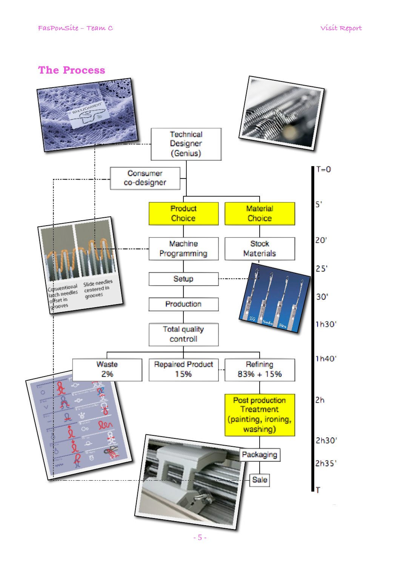## **The Process**